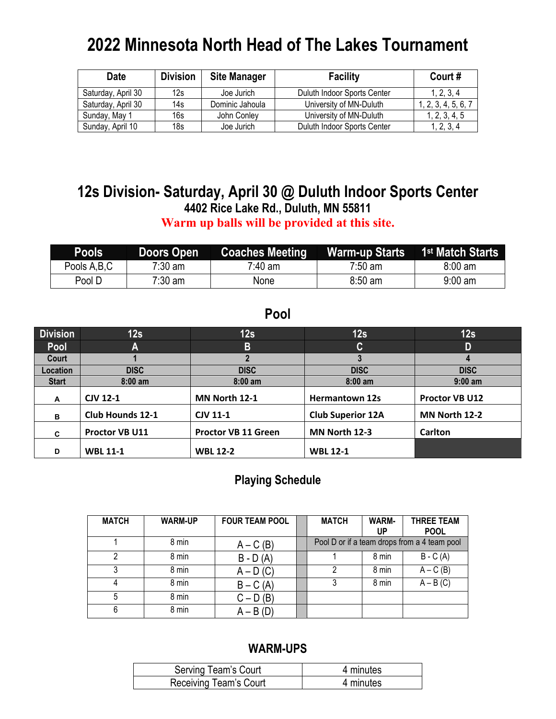# **2022 Minnesota North Head of The Lakes Tournament**

| <b>Date</b>        | <b>Division</b> | <b>Site Manager</b> | <b>Facility</b>             | Court#              |
|--------------------|-----------------|---------------------|-----------------------------|---------------------|
| Saturday, April 30 | 12s             | Joe Jurich          | Duluth Indoor Sports Center | 1, 2, 3, 4          |
| Saturday, April 30 | 14s             | Dominic Jahoula     | University of MN-Duluth     | 1, 2, 3, 4, 5, 6, 7 |
| Sunday, May 1      | 16s             | John Conley         | University of MN-Duluth     | 1, 2, 3, 4, 5       |
| Sunday, April 10   | 18s             | Joe Jurich          | Duluth Indoor Sports Center | 1, 2, 3, 4          |

## **12s Division- Saturday, April 30 @ Duluth Indoor Sports Center 4402 Rice Lake Rd., Duluth, MN 55811**

**Warm up balls will be provided at this site.**

| <b>Pools</b> | Doors Open        | <b>Coaches Meeting</b> | <b>Warm-up Starts</b> | 1 <sup>st</sup> Match Starts |
|--------------|-------------------|------------------------|-----------------------|------------------------------|
| Pools A,B,C  | 7:30 am           | 7:40 am                | 7:50 am               | $8:00 \text{ am}$            |
| Pool D       | $7:30 \text{ am}$ | None                   | $8:50$ am             | $9:00$ am                    |

#### **Pool**

| <b>Division</b> | 12s                     | 12s                        | 12s                      | 12s                   |
|-----------------|-------------------------|----------------------------|--------------------------|-----------------------|
| Pool            | A                       | $\overline{B}$             | C.                       | D                     |
| Court           |                         |                            | 3                        | 4                     |
| Location        | <b>DISC</b>             | <b>DISC</b>                | <b>DISC</b>              | <b>DISC</b>           |
| <b>Start</b>    | $8:00$ am               | $8:00$ am                  | $8:00$ am                | $9:00$ am             |
| A               | <b>CJV 12-1</b>         | MN North 12-1              | <b>Hermantown 12s</b>    | <b>Proctor VB U12</b> |
| в               | <b>Club Hounds 12-1</b> | <b>CJV 11-1</b>            | <b>Club Superior 12A</b> | MN North 12-2         |
| C               | Proctor VB U11          | <b>Proctor VB 11 Green</b> | MN North 12-3            | <b>Carlton</b>        |
| D               | <b>WBL 11-1</b>         | <b>WBL 12-2</b>            | <b>WBL 12-1</b>          |                       |

#### **Playing Schedule**

| <b>MATCH</b> | <b>WARM-UP</b> | <b>FOUR TEAM POOL</b> | <b>MATCH</b> | WARM-<br>UP | <b>THREE TEAM</b><br><b>POOL</b>             |
|--------------|----------------|-----------------------|--------------|-------------|----------------------------------------------|
|              | 8 min          | $A - C(B)$            |              |             | Pool D or if a team drops from a 4 team pool |
|              | 8 min          | $B - D(A)$            |              | 8 min       | $B - C(A)$                                   |
|              | 8 min          | $A - D(C)$            |              | 8 min       | $A - C(B)$                                   |
|              | 8 min          | $B - C(A)$            |              | 8 min       | $A - B(C)$                                   |
| 5            | 8 min          | $C - D(B)$            |              |             |                                              |
| 6            | 8 min          | $A - B(D)$            |              |             |                                              |

| Serving Team's Court   | 4 minutes |
|------------------------|-----------|
| Receiving Team's Court | 4 minutes |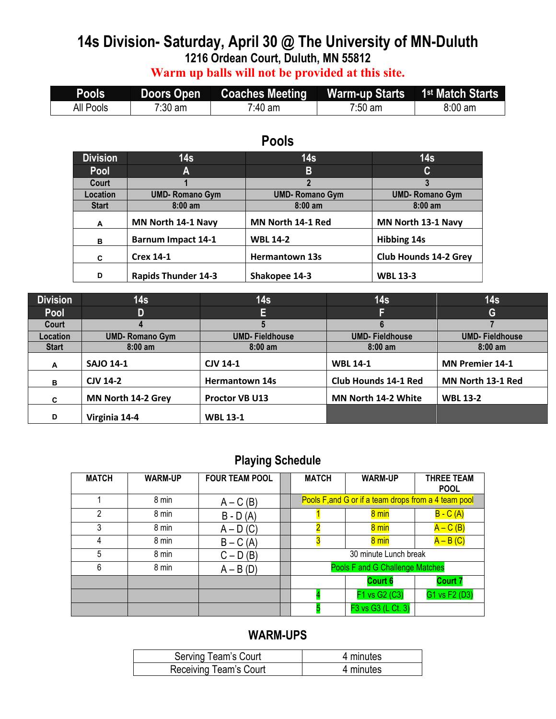# **14s Division- Saturday, April 30 @ The University of MN-Duluth 1216 Ordean Court, Duluth, MN 55812**

**Warm up balls will not be provided at this site.**

| <b>Pools</b> | <b>Doors Open</b> | <b>Coaches Meeting</b> | Warm-up Starts 1 <sup>st</sup> Match Starts |         |
|--------------|-------------------|------------------------|---------------------------------------------|---------|
| All Pools    | $7:30 \text{ am}$ | 7 <sup>.</sup> 40 am   | $7:50 \text{ am}$                           | 8:00 am |

## **Pools**

| <b>Division</b> | 14s                        | 14s                   | 14 <sub>s</sub>              |
|-----------------|----------------------------|-----------------------|------------------------------|
| Pool            | A                          | B                     | C                            |
| Court           |                            |                       |                              |
| <b>Location</b> | <b>UMD-Romano Gym</b>      | <b>UMD-Romano Gym</b> | <b>UMD-Romano Gym</b>        |
| <b>Start</b>    | $8:00$ am                  | $8:00$ am             | $8:00$ am                    |
| A               | MN North 14-1 Navy         | MN North 14-1 Red     | MN North 13-1 Navy           |
| B               | <b>Barnum Impact 14-1</b>  | <b>WBL 14-2</b>       | <b>Hibbing 14s</b>           |
| C               | <b>Crex 14-1</b>           | <b>Hermantown 13s</b> | <b>Club Hounds 14-2 Grey</b> |
| D               | <b>Rapids Thunder 14-3</b> | Shakopee 14-3         | <b>WBL 13-3</b>              |

| <b>Division</b> | 14 <sub>s</sub>        | 14s                   | 14s                         | 14s                    |
|-----------------|------------------------|-----------------------|-----------------------------|------------------------|
| Pool            | D                      | EI                    | с                           | G                      |
| Court           | 4                      |                       |                             |                        |
| Location        | <b>UMD- Romano Gym</b> | <b>UMD-Fieldhouse</b> | <b>UMD-Fieldhouse</b>       | <b>UMD-Fieldhouse</b>  |
| <b>Start</b>    | $8:00$ am              | $8:00$ am             | $8:00$ am                   | $8:00$ am              |
| A               | <b>SAJO 14-1</b>       | <b>CJV 14-1</b>       | <b>WBL 14-1</b>             | <b>MN Premier 14-1</b> |
| в               | <b>CJV 14-2</b>        | <b>Hermantown 14s</b> | <b>Club Hounds 14-1 Red</b> | MN North 13-1 Red      |
| C.              | MN North 14-2 Grey     | Proctor VB U13        | <b>MN North 14-2 White</b>  | <b>WBL 13-2</b>        |
| D               | Virginia 14-4          | <b>WBL 13-1</b>       |                             |                        |

## **Playing Schedule**

| <b>MATCH</b> | <b>WARM-UP</b> | <b>FOUR TEAM POOL</b> | <b>MATCH</b>                           | <b>WARM-UP</b>                                       | <b>THREE TEAM</b><br><b>POOL</b> |
|--------------|----------------|-----------------------|----------------------------------------|------------------------------------------------------|----------------------------------|
|              | 8 min          | $A - C(B)$            |                                        | Pools F, and G or if a team drops from a 4 team pool |                                  |
| 2            | 8 min          | $B - D(A)$            |                                        | 8 min                                                | $B - C(A)$                       |
| 3            | 8 min          | $A - D(C)$            |                                        | 8 min                                                | $A - C (B)$                      |
| 4            | 8 min          | $B - C(A)$            |                                        | 8 min                                                | $A - B(C)$                       |
| 5            | 8 min          | $C - D(B)$            |                                        | 30 minute Lunch break                                |                                  |
| 6            | 8 min          | $A - B(D)$            | <b>Pools F and G Challenge Matches</b> |                                                      |                                  |
|              |                |                       |                                        | <b>Court 6</b>                                       | Court 7                          |
|              |                |                       |                                        | F1 vs G2 (C3)                                        | G1 vs F2 (D3)                    |
|              |                |                       |                                        | F3 vs G3 (L Ct. 3)                                   |                                  |

| Serving Team's Court   | 4 minutes |
|------------------------|-----------|
| Receiving Team's Court | 4 minutes |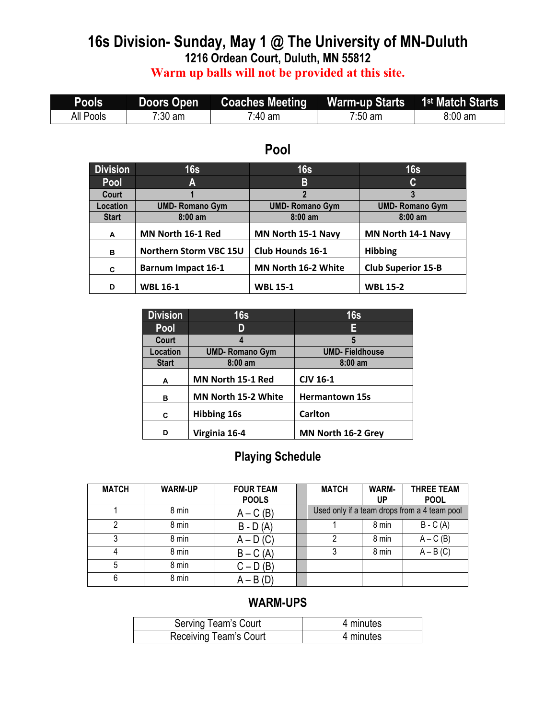#### **16s Division- Sunday, May 1 @ The University of MN-Duluth 1216 Ordean Court, Duluth, MN 55812 Warm up balls will not be provided at this site.**

| Pools <b>'</b> | 7Doors Open |                     |         |           |
|----------------|-------------|---------------------|---------|-----------|
| All Pools      | $7:30$ am   | <sup>7</sup> :40 am | 7:50 am | $8:00$ am |

| <b>Division</b> | 16s                       | 16s                     | 16s                       |
|-----------------|---------------------------|-------------------------|---------------------------|
|                 |                           |                         |                           |
| <b>Pool</b>     | A                         | B                       | C                         |
| Court           |                           | $\overline{2}$          | 3                         |
| Location        | <b>UMD-Romano Gym</b>     | <b>UMD-Romano Gym</b>   | <b>UMD-Romano Gym</b>     |
| <b>Start</b>    | $8:00$ am                 | $8:00$ am               | $8:00$ am                 |
| A               | MN North 16-1 Red         | MN North 15-1 Navy      | MN North 14-1 Navy        |
| в               | Northern Storm VBC 15U    | <b>Club Hounds 16-1</b> | <b>Hibbing</b>            |
| C               | <b>Barnum Impact 16-1</b> | MN North 16-2 White     | <b>Club Superior 15-B</b> |
| D               | <b>WBL 16-1</b>           | <b>WBL 15-1</b>         | <b>WBL 15-2</b>           |

## **Pool**

| <b>Division</b> | 16s                   | 16s                   |
|-----------------|-----------------------|-----------------------|
| Pool            |                       | E                     |
| Court           |                       | 5                     |
| Location        | <b>UMD-Romano Gym</b> | <b>UMD-Fieldhouse</b> |
| <b>Start</b>    | $8:00$ am             | $8:00$ am             |
| A               | MN North 15-1 Red     | <b>CJV 16-1</b>       |
| в               | MN North 15-2 White   | <b>Hermantown 15s</b> |
| C               | <b>Hibbing 16s</b>    | <b>Carlton</b>        |
| D               | Virginia 16-4         | MN North 16-2 Grey    |

## **Playing Schedule**

| <b>MATCH</b> | <b>WARM-UP</b> | <b>FOUR TEAM</b><br><b>POOLS</b> | <b>MATCH</b> | WARM-<br>UP | <b>THREE TEAM</b><br><b>POOL</b>             |
|--------------|----------------|----------------------------------|--------------|-------------|----------------------------------------------|
|              | 8 min          | $A - C(B)$                       |              |             | Used only if a team drops from a 4 team pool |
| າ            | 8 min          | $B - D(A)$                       |              | 8 min       | $B - C(A)$                                   |
| າ            | 8 min          | $A - D(C)$                       | 2            | 8 min       | $A - C(B)$                                   |
|              | 8 min          | $B - C(A)$                       |              | 8 min       | $A - B(C)$                                   |
| 5            | 8 min          | $C - D(B)$                       |              |             |                                              |
| 6            | 8 min          | $A - B(D)$                       |              |             |                                              |

| Serving Team's Court   | 4 minutes |
|------------------------|-----------|
| Receiving Team's Court | 4 minutes |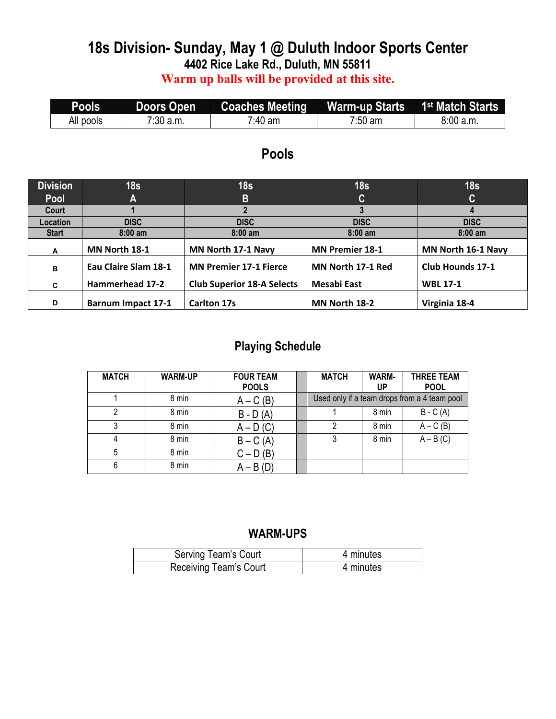## **18s Division- Sunday, May 1 @ Duluth Indoor Sports Center 4402 Rice Lake Rd., Duluth, MN 55811**

**Warm up balls will be provided at this site.**

| <b>Pools</b> | <b>Doors Open</b> | Coaches Meeting Warm-up Starts 1 |         | 1 <sup>st</sup> Match Starts |
|--------------|-------------------|----------------------------------|---------|------------------------------|
| All pools    | $7:30$ a.m.       | 7 <sup>.</sup> 40 am             | 7:50 am | 8:00 a.m.                    |

#### **Pools**

| <b>Division</b> | 18 <sub>s</sub>           | 18 <sub>s</sub>                   | 18 <sub>s</sub>        | 18 <sub>s</sub>    |
|-----------------|---------------------------|-----------------------------------|------------------------|--------------------|
| <b>Pool</b>     | А                         | B                                 | $\mathbf{C}$           | C                  |
| Court           |                           |                                   |                        |                    |
| Location        | <b>DISC</b>               | <b>DISC</b>                       | <b>DISC</b>            | <b>DISC</b>        |
| <b>Start</b>    | $8:00$ am                 | $8:00$ am                         | $8:00$ am              | $8:00$ am          |
| A               | MN North 18-1             | MN North 17-1 Navy                | <b>MN Premier 18-1</b> | MN North 16-1 Navy |
| в               | Eau Claire Slam 18-1      | <b>MN Premier 17-1 Fierce</b>     | MN North 17-1 Red      | Club Hounds 17-1   |
| C               | Hammerhead 17-2           | <b>Club Superior 18-A Selects</b> | Mesabi East            | <b>WBL 17-1</b>    |
| D               | <b>Barnum Impact 17-1</b> | <b>Carlton 17s</b>                | MN North 18-2          | Virginia 18-4      |

## **Playing Schedule**

| <b>MATCH</b> | <b>WARM-UP</b> | <b>FOUR TEAM</b><br><b>POOLS</b> | <b>MATCH</b> | <b>WARM-</b><br>UP | <b>THREE TEAM</b><br><b>POOL</b>             |
|--------------|----------------|----------------------------------|--------------|--------------------|----------------------------------------------|
|              | 8 min          | $A - C(B)$                       |              |                    | Used only if a team drops from a 4 team pool |
| ົ            | 8 min          | $B - D(A)$                       |              | 8 min              | $B - C(A)$                                   |
| 3            | 8 min          | $A - D(C)$                       | っ            | 8 min              | $A - C(B)$                                   |
|              | 8 min          | $B - C(A)$                       |              | 8 min              | $A - B(C)$                                   |
| 5            | 8 min          | $C - D(B)$                       |              |                    |                                              |
| 6            | 8 min          | $A - B(D)$                       |              |                    |                                              |

| Serving Team's Court   | 4 minutes |
|------------------------|-----------|
| Receiving Team's Court | 4 minutes |